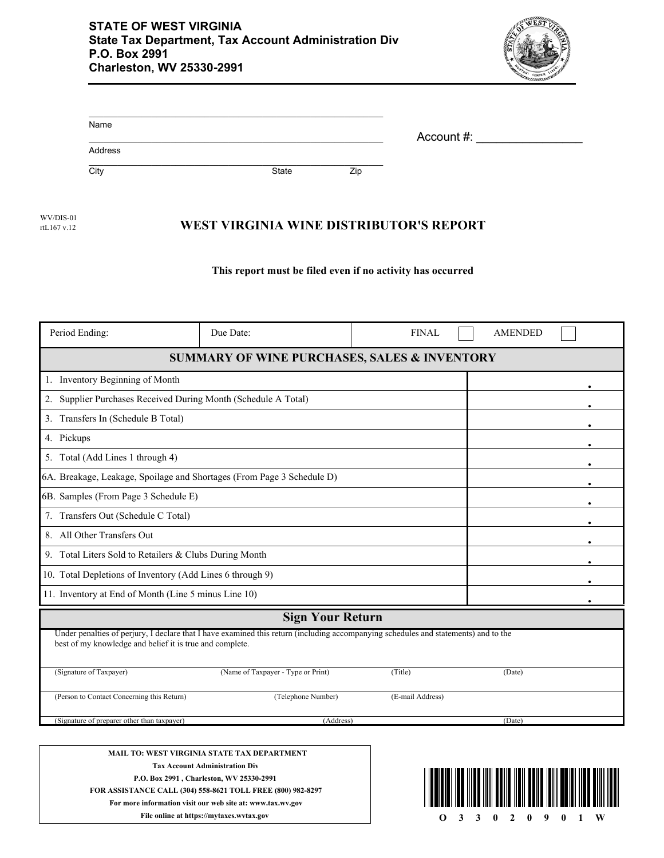

| Name    |       |     |            |
|---------|-------|-----|------------|
|         |       |     | Account #: |
| Address |       |     |            |
| City    | State | Zip |            |

**WEST VIRGINIA WINE DISTRIBUTOR'S REPORT** WV/DIS-01 rtL167 v.12

## **This report must be filed even if no activity has occurred**

| Period Ending:                                                         | Due Date:                                                                                                                           | <b>FINAL</b>     | <b>AMENDED</b> |  |  |  |
|------------------------------------------------------------------------|-------------------------------------------------------------------------------------------------------------------------------------|------------------|----------------|--|--|--|
| <b>SUMMARY OF WINE PURCHASES, SALES &amp; INVENTORY</b>                |                                                                                                                                     |                  |                |  |  |  |
| 1. Inventory Beginning of Month                                        |                                                                                                                                     |                  |                |  |  |  |
| Supplier Purchases Received During Month (Schedule A Total)<br>2.      |                                                                                                                                     |                  |                |  |  |  |
| 3. Transfers In (Schedule B Total)                                     |                                                                                                                                     |                  |                |  |  |  |
| 4. Pickups                                                             |                                                                                                                                     |                  |                |  |  |  |
| 5. Total (Add Lines 1 through 4)                                       |                                                                                                                                     |                  |                |  |  |  |
| 6A. Breakage, Leakage, Spoilage and Shortages (From Page 3 Schedule D) |                                                                                                                                     |                  |                |  |  |  |
| 6B. Samples (From Page 3 Schedule E)                                   |                                                                                                                                     |                  |                |  |  |  |
| 7. Transfers Out (Schedule C Total)                                    |                                                                                                                                     |                  |                |  |  |  |
| 8. All Other Transfers Out                                             |                                                                                                                                     |                  |                |  |  |  |
| 9. Total Liters Sold to Retailers & Clubs During Month                 |                                                                                                                                     |                  |                |  |  |  |
| 10. Total Depletions of Inventory (Add Lines 6 through 9)              |                                                                                                                                     |                  |                |  |  |  |
| 11. Inventory at End of Month (Line 5 minus Line 10)                   |                                                                                                                                     |                  |                |  |  |  |
|                                                                        | <b>Sign Your Return</b>                                                                                                             |                  |                |  |  |  |
| best of my knowledge and belief it is true and complete.               | Under penalties of perjury, I declare that I have examined this return (including accompanying schedules and statements) and to the |                  |                |  |  |  |
| (Signature of Taxpayer)                                                | (Name of Taxpayer - Type or Print)                                                                                                  | (Title)          | (Date)         |  |  |  |
| (Person to Contact Concerning this Return)                             | (Telephone Number)                                                                                                                  | (E-mail Address) |                |  |  |  |
| (Signature of preparer other than taxpayer)<br>(Address)<br>(Date)     |                                                                                                                                     |                  |                |  |  |  |
|                                                                        | MAIL TO: WEST VIRGINIA STATE TAX DEPARTMENT                                                                                         |                  |                |  |  |  |

**Tax Account Administration Div P.O. Box 2991 , Charleston, WV 25330-2991 FOR ASSISTANCE CALL (304) 558-8621 TOLL FREE (800) 982-8297 For more information visit our web site at: www.tax.wv.gov File online at https://mytaxes.wvtax.gov O** 3 3 0 2 0 9 0 1 W

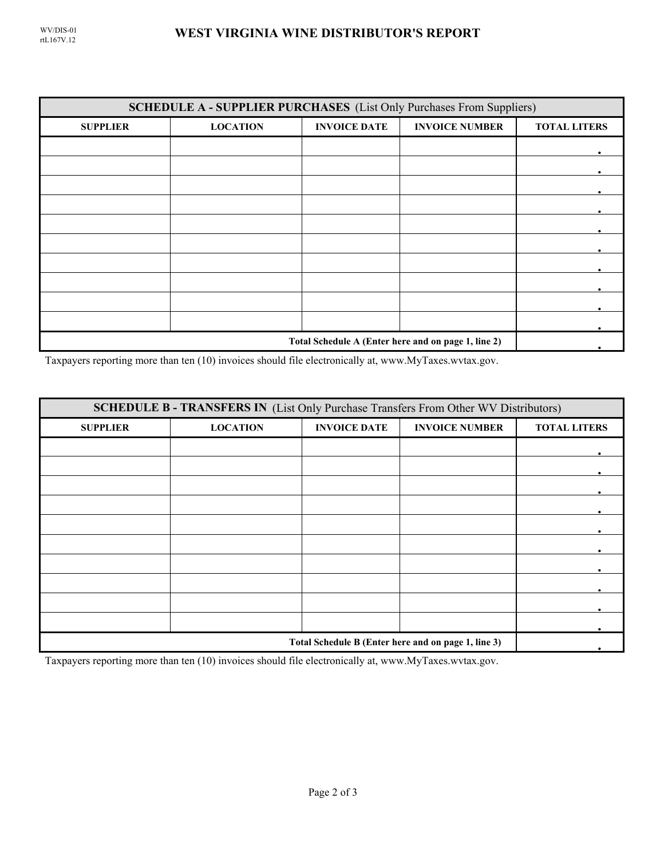| <b>SCHEDULE A - SUPPLIER PURCHASES</b> (List Only Purchases From Suppliers) |                 |                     |                       |                     |  |
|-----------------------------------------------------------------------------|-----------------|---------------------|-----------------------|---------------------|--|
| <b>SUPPLIER</b>                                                             | <b>LOCATION</b> | <b>INVOICE DATE</b> | <b>INVOICE NUMBER</b> | <b>TOTAL LITERS</b> |  |
|                                                                             |                 |                     |                       |                     |  |
|                                                                             |                 |                     |                       |                     |  |
|                                                                             |                 |                     |                       |                     |  |
|                                                                             |                 |                     |                       |                     |  |
|                                                                             |                 |                     |                       |                     |  |
|                                                                             |                 |                     |                       |                     |  |
|                                                                             |                 |                     |                       |                     |  |
|                                                                             |                 |                     |                       |                     |  |
|                                                                             |                 |                     |                       |                     |  |
|                                                                             |                 |                     |                       |                     |  |
| Total Schedule A (Enter here and on page 1, line 2)                         |                 |                     |                       |                     |  |

Taxpayers reporting more than ten (10) invoices should file electronically at, www.MyTaxes.wvtax.gov.

| <b>SCHEDULE B - TRANSFERS IN (List Only Purchase Transfers From Other WV Distributors)</b> |                 |                     |                       |                     |  |
|--------------------------------------------------------------------------------------------|-----------------|---------------------|-----------------------|---------------------|--|
| <b>SUPPLIER</b>                                                                            | <b>LOCATION</b> | <b>INVOICE DATE</b> | <b>INVOICE NUMBER</b> | <b>TOTAL LITERS</b> |  |
|                                                                                            |                 |                     |                       |                     |  |
|                                                                                            |                 |                     |                       |                     |  |
|                                                                                            |                 |                     |                       |                     |  |
|                                                                                            |                 |                     |                       |                     |  |
|                                                                                            |                 |                     |                       |                     |  |
|                                                                                            |                 |                     |                       |                     |  |
|                                                                                            |                 |                     |                       |                     |  |
|                                                                                            |                 |                     |                       |                     |  |
|                                                                                            |                 |                     |                       |                     |  |
|                                                                                            |                 |                     |                       |                     |  |
| Total Schedule B (Enter here and on page 1, line 3)                                        |                 |                     |                       |                     |  |

Taxpayers reporting more than ten (10) invoices should file electronically at, www.MyTaxes.wvtax.gov.